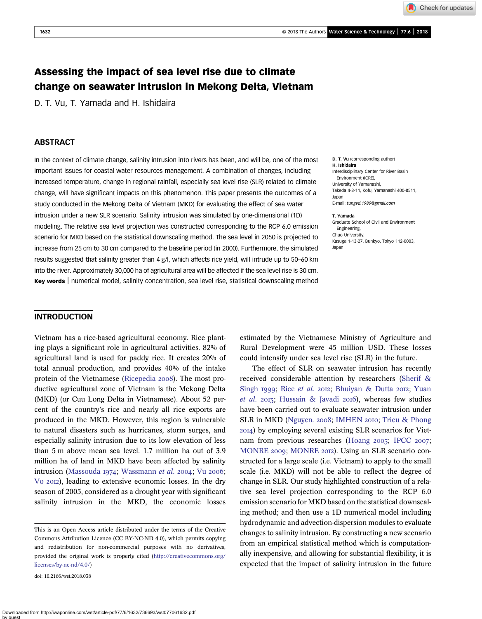Check for updates

# Assessing the impact of sea level rise due to climate change on seawater intrusion in Mekong Delta, Vietnam

D. T. Vu, T. Yamada and H. Ishidaira

# **ABSTRACT**

In the context of climate change, salinity intrusion into rivers has been, and will be, one of the most important issues for coastal water resources management. A combination of changes, including increased temperature, change in regional rainfall, especially sea level rise (SLR) related to climate change, will have significant impacts on this phenomenon. This paper presents the outcomes of a study conducted in the Mekong Delta of Vietnam (MKD) for evaluating the effect of sea water intrusion under a new SLR scenario. Salinity intrusion was simulated by one-dimensional (1D) modeling. The relative sea level projection was constructed corresponding to the RCP 6.0 emission scenario for MKD based on the statistical downscaling method. The sea level in 2050 is projected to increase from 25 cm to 30 cm compared to the baseline period (in 2000). Furthermore, the simulated results suggested that salinity greater than 4 g/l, which affects rice yield, will intrude up to 50–60 km into the river. Approximately 30,000 ha of agricultural area will be affected if the sea level rise is 30 cm. Key words | numerical model, salinity concentration, sea level rise, statistical downscaling method

D. T. Vu (corresponding author) H. Ishidaira Interdisciplinary Center for River Basin Environment (ICRE), University of Yamanashi, Takeda 4-3-11, Kofu, Yamanashi 400-8511, Japan E-mail: [tungvd.1989@gmail.com](mailto:tungvd.1989@gmail.com)

#### T. Yamada

Graduate School of Civil and Environment Engineering, Chuo University, Kasuga 1-13-27, Bunkyo, Tokyo 112-0003, Japan

### INTRODUCTION

Vietnam has a rice-based agricultural economy. Rice planting plays a significant role in agricultural activities. 82% of agricultural land is used for paddy rice. It creates 20% of total annual production, and provides 40% of the intake protein of the Vietnamese [\(Ricepedia](#page-7-0) 2008). The most productive agricultural zone of Vietnam is the Mekong Delta (MKD) (or Cuu Long Delta in Vietnamese). About 52 percent of the country's rice and nearly all rice exports are produced in the MKD. However, this region is vulnerable to natural disasters such as hurricanes, storm surges, and especially salinity intrusion due to its low elevation of less than 5 m above mean sea level. 1.7 million ha out of 3.9 million ha of land in MKD have been affected by salinity intrusion [\(Massouda](#page-7-0) 1974; [Wassmann](#page-7-0) et al. 2004; Vu 2006; Vo 2012), leading to extensive economic losses. In the dry season of 2005, considered as a drought year with significant salinity intrusion in the MKD, the economic losses

doi: 10.2166/wst.2018.038

estimated by the Vietnamese Ministry of Agriculture and Rural Development were 45 million USD. These losses could intensify under sea level rise (SLR) in the future.

The effect of SLR on seawater intrusion has recently received considerable attention by researchers [\(Sherif &](#page-7-0) [Singh](#page-7-0) 1999; Rice [et al.](#page-7-0) 2012; [Bhuiyan & Dutta](#page-7-0) 2012; [Yuan](#page-7-0) [et al.](#page-7-0)  $2013$ ; [Hussain & Javadi](#page-7-0)  $2016$ ), whereas few studies have been carried out to evaluate seawater intrusion under SLR in MKD ([Nguyen](#page-7-0). 2008; [IMHEN](#page-7-0) 2010; [Trieu & Phong](#page-7-0) ) by employing several existing SLR scenarios for Viet-nam from previous researches [\(Hoang](#page-7-0) 2005; [IPCC](#page-7-0) 2007; [MONRE](#page-7-0) 2009; MONRE 2012). Using an SLR scenario constructed for a large scale (i.e. Vietnam) to apply to the small scale (i.e. MKD) will not be able to reflect the degree of change in SLR. Our study highlighted construction of a relative sea level projection corresponding to the RCP 6.0 emission scenario for MKD based on the statistical downscaling method; and then use a 1D numerical model including hydrodynamic and advection-dispersion modules to evaluate changes to salinity intrusion. By constructing a new scenario from an empirical statistical method which is computationally inexpensive, and allowing for substantial flexibility, it is expected that the impact of salinity intrusion in the future

This is an Open Access article distributed under the terms of the Creative Commons Attribution Licence (CC BY-NC-ND 4.0), which permits copying and redistribution for non-commercial purposes with no derivatives, provided the original work is properly cited [\(http://creativecommons.org/](http://creativecommons.org/licenses/by-nc-nd/4.0/) [licenses/by-nc-nd/4.0/\)](http://creativecommons.org/licenses/by-nc-nd/4.0/)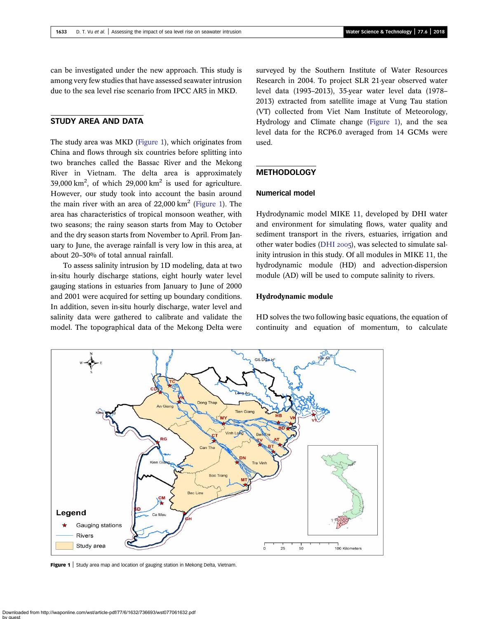<span id="page-1-0"></span>can be investigated under the new approach. This study is among very few studies that have assessed seawater intrusion due to the sea level rise scenario from IPCC AR5 in MKD.

# STUDY AREA AND DATA

The study area was MKD (Figure 1), which originates from China and flows through six countries before splitting into two branches called the Bassac River and the Mekong River in Vietnam. The delta area is approximately 39,000 km<sup>2</sup>, of which 29,000 km<sup>2</sup> is used for agriculture. However, our study took into account the basin around the main river with an area of  $22,000 \text{ km}^2$  (Figure 1). The area has characteristics of tropical monsoon weather, with two seasons; the rainy season starts from May to October and the dry season starts from November to April. From January to June, the average rainfall is very low in this area, at about 20–30% of total annual rainfall.

To assess salinity intrusion by 1D modeling, data at two in-situ hourly discharge stations, eight hourly water level gauging stations in estuaries from January to June of 2000 and 2001 were acquired for setting up boundary conditions. In addition, seven in-situ hourly discharge, water level and salinity data were gathered to calibrate and validate the model. The topographical data of the Mekong Delta were

surveyed by the Southern Institute of Water Resources Research in 2004. To project SLR 21-year observed water level data (1993–2013), 35-year water level data (1978– 2013) extracted from satellite image at Vung Tau station (VT) collected from Viet Nam Institute of Meteorology, Hydrology and Climate change (Figure 1), and the sea level data for the RCP6.0 averaged from 14 GCMs were used.

# **METHODOLOGY**

# Numerical model

Hydrodynamic model MIKE 11, developed by DHI water and environment for simulating flows, water quality and sediment transport in the rivers, estuaries, irrigation and other water bodies [\(DHI](#page-7-0)  $2005$ ), was selected to simulate salinity intrusion in this study. Of all modules in MIKE 11, the hydrodynamic module (HD) and advection-dispersion module (AD) will be used to compute salinity to rivers.

#### Hydrodynamic module

HD solves the two following basic equations, the equation of continuity and equation of momentum, to calculate



Figure 1 | Study area map and location of gauging station in Mekong Delta, Vietnam.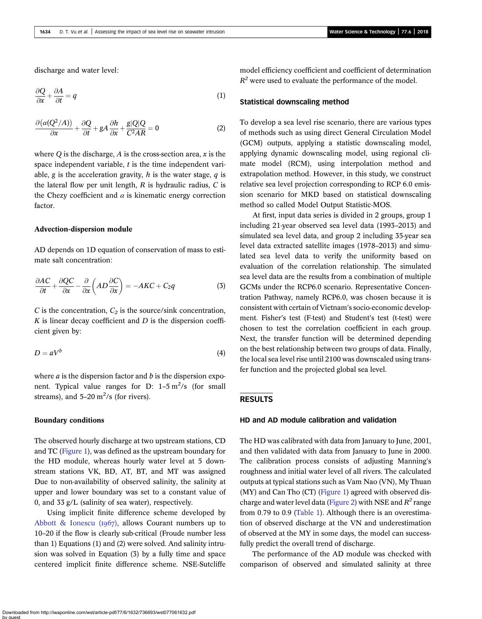discharge and water level:

$$
\frac{\partial Q}{\partial x} + \frac{\partial A}{\partial t} = q \tag{1}
$$

$$
\frac{\partial (\alpha (Q^2/A))}{\partial x} + \frac{\partial Q}{\partial t} + gA \frac{\partial h}{\partial x} + \frac{g|Q|Q}{C^2AR} = 0
$$
 (2)

where Q is the discharge, A is the cross-section area,  $x$  is the space independent variable,  $t$  is the time independent variable, g is the acceleration gravity, h is the water stage,  $q$  is the lateral flow per unit length,  $R$  is hydraulic radius,  $C$  is the Chezy coefficient and  $\alpha$  is kinematic energy correction factor.

# Advection-dispersion module

AD depends on 1D equation of conservation of mass to estimate salt concentration:

$$
\frac{\partial AC}{\partial t} + \frac{\partial QC}{\partial x} - \frac{\partial}{\partial x} \left( AD \frac{\partial C}{\partial x} \right) = -AKC + C_2 q \tag{3}
$$

C is the concentration,  $C_2$  is the source/sink concentration,  $K$  is linear decay coefficient and  $D$  is the dispersion coefficient given by:

$$
D = aV^b \tag{4}
$$

where  $a$  is the dispersion factor and  $b$  is the dispersion exponent. Typical value ranges for  $D: 1-5 \text{ m}^2/\text{s}$  (for small streams), and  $5-20 \text{ m}^2/\text{s}$  (for rivers).

#### Boundary conditions

The observed hourly discharge at two upstream stations, CD and TC [\(Figure 1\)](#page-1-0), was defined as the upstream boundary for the HD module, whereas hourly water level at 5 downstream stations VK, BD, AT, BT, and MT was assigned Due to non-availability of observed salinity, the salinity at upper and lower boundary was set to a constant value of 0, and 33 g/L (salinity of sea water), respectively.

Using implicit finite difference scheme developed by [Abbott & Ionescu \(](#page-7-0) $1967$ ), allows Courant numbers up to 10–20 if the flow is clearly sub-critical (Froude number less than 1) Equations (1) and (2) were solved. And salinity intrusion was solved in Equation (3) by a fully time and space centered implicit finite difference scheme. NSE-Sutcliffe model efficiency coefficient and coefficient of determination  $R^2$  were used to evaluate the performance of the model.

## Statistical downscaling method

To develop a sea level rise scenario, there are various types of methods such as using direct General Circulation Model (GCM) outputs, applying a statistic downscaling model, applying dynamic downscaling model, using regional climate model (RCM), using interpolation method and extrapolation method. However, in this study, we construct relative sea level projection corresponding to RCP 6.0 emission scenario for MKD based on statistical downscaling method so called Model Output Statistic-MOS.

At first, input data series is divided in 2 groups, group 1 including 21-year observed sea level data (1993–2013) and simulated sea level data, and group 2 including 35-year sea level data extracted satellite images (1978–2013) and simulated sea level data to verify the uniformity based on evaluation of the correlation relationship. The simulated sea level data are the results from a combination of multiple GCMs under the RCP6.0 scenario. Representative Concentration Pathway, namely RCP6.0, was chosen because it is consistent with certain of Vietnam's socio-economic development. Fisher's test (F-test) and Student's test (t-test) were chosen to test the correlation coefficient in each group. Next, the transfer function will be determined depending on the best relationship between two groups of data. Finally, the local sea level rise until 2100 was downscaled using transfer function and the projected global sea level.

# RESULTS

# HD and AD module calibration and validation

The HD was calibrated with data from January to June, 2001, and then validated with data from January to June in 2000. The calibration process consists of adjusting Manning's roughness and initial water level of all rivers. The calculated outputs at typical stations such as Vam Nao (VN), My Thuan (MY) and Can Tho (CT) [\(Figure 1](#page-1-0)) agreed with observed dis-charge and water level data [\(Figure 2\)](#page-3-0) with NSE and  $R^2$  range from 0.79 to 0.9 ([Table 1\)](#page-3-0). Although there is an overestimation of observed discharge at the VN and underestimation of observed at the MY in some days, the model can successfully predict the overall trend of discharge.

The performance of the AD module was checked with comparison of observed and simulated salinity at three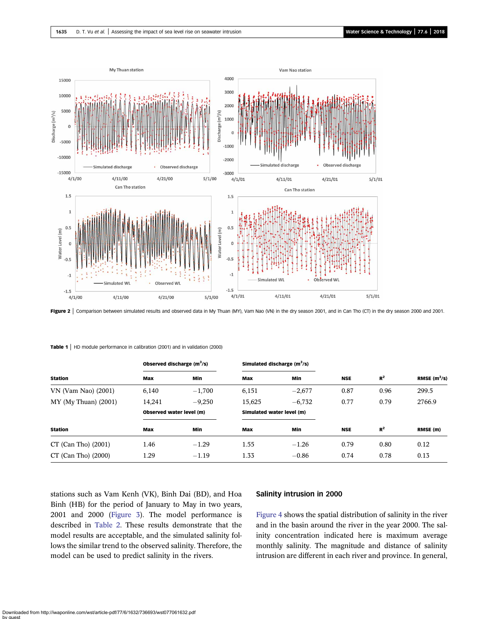<span id="page-3-0"></span>

Figure 2 | Comparison between simulated results and observed data in My Thuan (MY), Vam Nao (VN) in the dry season 2001, and in Can Tho (CT) in the dry season 2000 and 2001.

|                        | Observed discharge $(m^3/s)$ |          | Simulated discharge $(m^3/s)$ |          |            |       |                |
|------------------------|------------------------------|----------|-------------------------------|----------|------------|-------|----------------|
| <b>Station</b>         | Max                          | Min      | Max                           | Min      | <b>NSE</b> | $R^2$ | RMSE $(m^3/s)$ |
| VN (Vam Nao) (2001)    | 6,140                        | $-1,700$ | 6,151                         | $-2,677$ | 0.87       | 0.96  | 299.5          |
| $MY$ (My Thuan) (2001) | 14,241                       | $-9,250$ | 15,625                        | $-6,732$ | 0.77       | 0.79  | 2766.9         |
|                        | Observed water level (m)     |          | Simulated water level (m)     |          |            |       |                |
| <b>Station</b>         | Max                          | Min      | Max                           | Min      | <b>NSE</b> | $R^2$ | RMSE (m)       |
| $CT$ (Can Tho) (2001)  | 1.46                         | $-1.29$  | 1.55                          | $-1.26$  | 0.79       | 0.80  | 0.12           |
| $CT$ (Can Tho) (2000)  | 1.29                         | $-1.19$  | 1.33                          | $-0.86$  | 0.74       | 0.78  | 0.13           |

Table 1 | HD module performance in calibration (2001) and in validation (2000)

stations such as Vam Kenh (VK), Binh Dai (BD), and Hoa Binh (HB) for the period of January to May in two years, 2001 and 2000 [\(Figure 3](#page-4-0)). The model performance is described in [Table 2.](#page-4-0) These results demonstrate that the model results are acceptable, and the simulated salinity follows the similar trend to the observed salinity. Therefore, the model can be used to predict salinity in the rivers.

### Salinity intrusion in 2000

[Figure 4](#page-4-0) shows the spatial distribution of salinity in the river and in the basin around the river in the year 2000. The salinity concentration indicated here is maximum average monthly salinity. The magnitude and distance of salinity intrusion are different in each river and province. In general,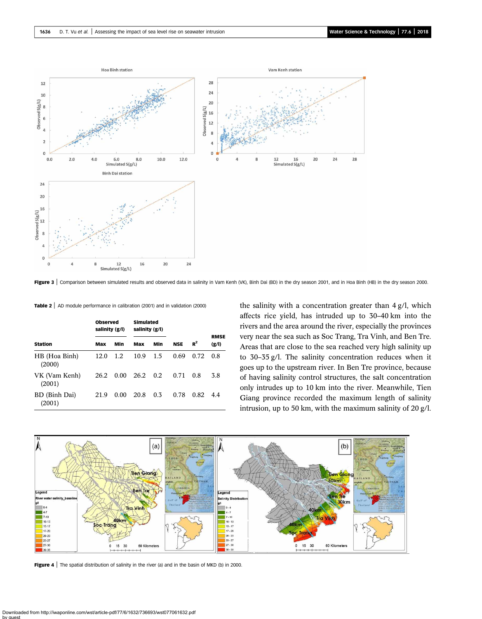<span id="page-4-0"></span>

Figure 3 | Comparison between simulated results and observed data in salinity in Vam Kenh (VK), Binh Dai (BD) in the dry season 2001, and in Hoa Binh (HB) in the dry season 2000.

Table 2 | AD module performance in calibration (2001) and in validation (2000)

|                         | <b>Observed</b><br>salinity (g/l) |         | <b>Simulated</b><br>salinity (g/l) |     |            |       |                      |
|-------------------------|-----------------------------------|---------|------------------------------------|-----|------------|-------|----------------------|
| <b>Station</b>          | Max                               | Min     | Max                                | Min | <b>NSE</b> | $R^2$ | <b>RMSE</b><br>(g/l) |
| HB (Hoa Binh)<br>(2000) | 12.0                              | $1.2\,$ | 10.9                               | 1.5 | 0.69       | 0.72  | 0.8                  |
| VK (Vam Kenh)<br>(2001) | 26.2                              | 0.00    | 26.2                               | 0.2 | 0.71       | 0.8   | 3.8                  |
| BD (Binh Dai)<br>(2001) | 21.9                              | 0.00    | 20.8                               | 0.3 | 0.78       | 0.82  | 44                   |

the salinity with a concentration greater than 4 g/l, which affects rice yield, has intruded up to 30–40 km into the rivers and the area around the river, especially the provinces very near the sea such as Soc Trang, Tra Vinh, and Ben Tre. Areas that are close to the sea reached very high salinity up to 30–35 g/l. The salinity concentration reduces when it goes up to the upstream river. In Ben Tre province, because of having salinity control structures, the salt concentration only intrudes up to 10 km into the river. Meanwhile, Tien Giang province recorded the maximum length of salinity intrusion, up to 50 km, with the maximum salinity of 20 g/l.



Figure 4 | The spatial distribution of salinity in the river (a) and in the basin of MKD (b) in 2000.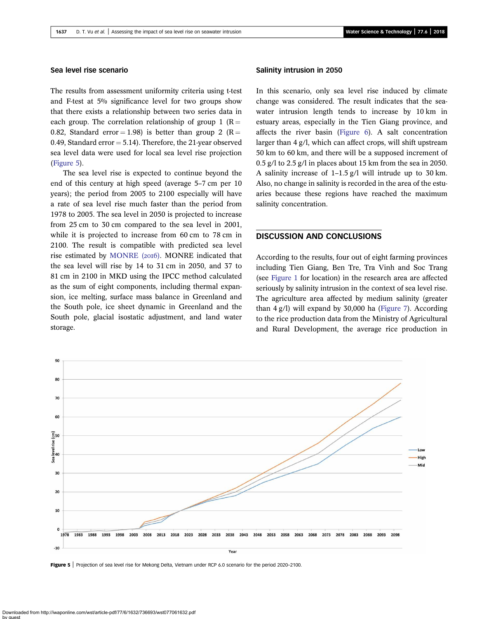### Sea level rise scenario

The results from assessment uniformity criteria using t-test and F-test at 5% significance level for two groups show that there exists a relationship between two series data in each group. The correlation relationship of group 1 ( $R =$ 0.82, Standard error = 1.98) is better than group 2 (R = 0.49, Standard error  $= 5.14$ ). Therefore, the 21-year observed sea level data were used for local sea level rise projection (Figure 5).

The sea level rise is expected to continue beyond the end of this century at high speed (average 5–7 cm per 10 years); the period from 2005 to 2100 especially will have a rate of sea level rise much faster than the period from 1978 to 2005. The sea level in 2050 is projected to increase from 25 cm to 30 cm compared to the sea level in 2001, while it is projected to increase from 60 cm to 78 cm in 2100. The result is compatible with predicted sea level rise estimated by [MONRE \(](#page-7-0)2016). MONRE indicated that the sea level will rise by 14 to 31 cm in 2050, and 37 to 81 cm in 2100 in MKD using the IPCC method calculated as the sum of eight components, including thermal expansion, ice melting, surface mass balance in Greenland and the South pole, ice sheet dynamic in Greenland and the South pole, glacial isostatic adjustment, and land water storage.

### Salinity intrusion in 2050

In this scenario, only sea level rise induced by climate change was considered. The result indicates that the seawater intrusion length tends to increase by 10 km in estuary areas, especially in the Tien Giang province, and affects the river basin [\(Figure 6\)](#page-6-0). A salt concentration larger than 4 g/l, which can affect crops, will shift upstream 50 km to 60 km, and there will be a supposed increment of 0.5 g/l to 2.5 g/l in places about 15 km from the sea in 2050. A salinity increase of 1–1.5 g/l will intrude up to 30 km. Also, no change in salinity is recorded in the area of the estuaries because these regions have reached the maximum salinity concentration.

# DISCUSSION AND CONCLUSIONS

According to the results, four out of eight farming provinces including Tien Giang, Ben Tre, Tra Vinh and Soc Trang (see [Figure 1](#page-1-0) for location) in the research area are affected seriously by salinity intrusion in the context of sea level rise. The agriculture area affected by medium salinity (greater than 4 g/l) will expand by 30,000 ha [\(Figure 7](#page-6-0)). According to the rice production data from the Ministry of Agricultural and Rural Development, the average rice production in



Figure 5 | Projection of sea level rise for Mekong Delta, Vietnam under RCP 6.0 scenario for the period 2020-2100.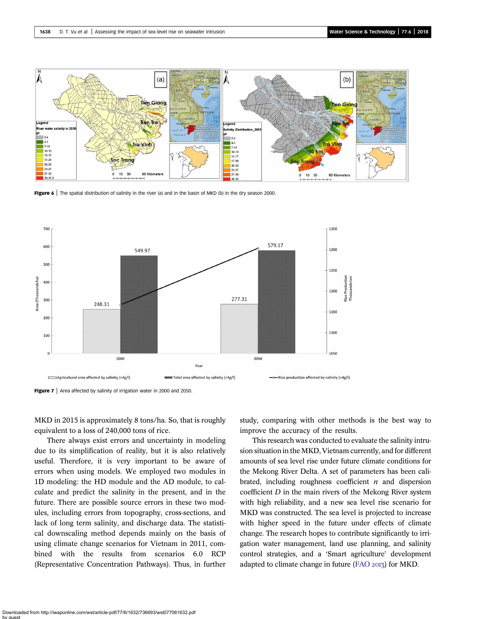<span id="page-6-0"></span>

Figure  $6 \mid$  The spatial distribution of salinity in the river (a) and in the basin of MKD (b) in the dry season 2000.





MKD in 2015 is approximately 8 tons/ha. So, that is roughly equivalent to a loss of 240,000 tons of rice.

There always exist errors and uncertainty in modeling due to its simplification of reality, but it is also relatively useful. Therefore, it is very important to be aware of errors when using models. We employed two modules in 1D modeling: the HD module and the AD module, to calculate and predict the salinity in the present, and in the future. There are possible source errors in these two modules, including errors from topography, cross-sections, and lack of long term salinity, and discharge data. The statistical downscaling method depends mainly on the basis of using climate change scenarios for Vietnam in 2011, combined with the results from scenarios 6.0 RCP (Representative Concentration Pathways). Thus, in further study, comparing with other methods is the best way to improve the accuracy of the results.

This research was conducted to evaluate the salinity intrusion situation in the MKD, Vietnam currently, and for different amounts of sea level rise under future climate conditions for the Mekong River Delta. A set of parameters has been calibrated, including roughness coefficient  $n$  and dispersion coefficient  $D$  in the main rivers of the Mekong River system with high reliability, and a new sea level rise scenario for MKD was constructed. The sea level is projected to increase with higher speed in the future under effects of climate change. The research hopes to contribute significantly to irrigation water management, land use planning, and salinity control strategies, and a 'Smart agriculture' development adapted to climate change in future [\(FAO](#page-7-0)  $20I_3$ ) for MKD.